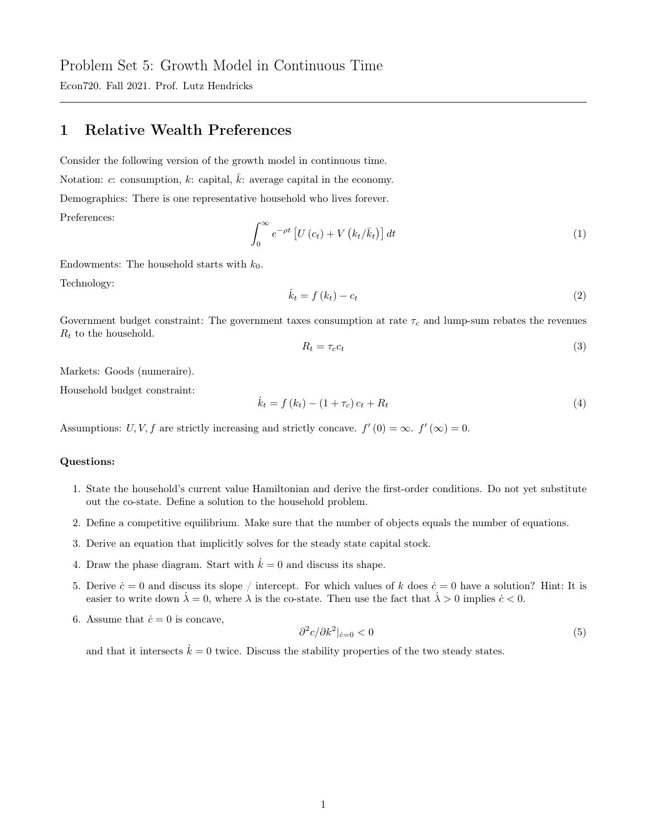Econ720. Fall 2021. Prof. Lutz Hendricks

## 1 Relative Wealth Preferences

Consider the following version of the growth model in continuous time. Notation: c: consumption, k: capital,  $\bar{k}$ : average capital in the economy. Demographics: There is one representative household who lives forever. Preferences:

$$
\int_0^\infty e^{-\rho t} \left[ U\left(c_t\right) + V\left(k_t/\bar{k}_t\right) \right] dt \tag{1}
$$

Endowments: The household starts with  $k_0$ . Technology:

$$
\dot{k}_t = f(k_t) - c_t \tag{2}
$$

Government budget constraint: The government taxes consumption at rate  $\tau_c$  and lump-sum rebates the revenues  $R_t$  to the household.

$$
R_t = \tau_c c_t \tag{3}
$$

Markets: Goods (numeraire).

Household budget constraint:

$$
\dot{k}_t = f(k_t) - (1 + \tau_c)c_t + R_t \tag{4}
$$

Assumptions: U, V, f are strictly increasing and strictly concave.  $f'(0) = \infty$ .  $f'(\infty) = 0$ .

## Questions:

- 1. State the household's current value Hamiltonian and derive the first-order conditions. Do not yet substitute out the co-state. Define a solution to the household problem.
- 2. Define a competitive equilibrium. Make sure that the number of objects equals the number of equations.
- 3. Derive an equation that implicitly solves for the steady state capital stock.
- 4. Draw the phase diagram. Start with  $\dot{k} = 0$  and discuss its shape.
- 5. Derive  $\dot{c}=0$  and discuss its slope / intercept. For which values of k does  $\dot{c}=0$  have a solution? Hint: It is easier to write down  $\lambda = 0$ , where  $\lambda$  is the co-state. Then use the fact that  $\lambda > 0$  implies  $\dot{c} < 0$ .
- 6. Assume that  $\dot{c} = 0$  is concave,

$$
\frac{\partial^2 c}{\partial k^2}\big|_{\dot{c}=0} < 0\tag{5}
$$

and that it intersects  $\dot{k} = 0$  twice. Discuss the stability properties of the two steady states.